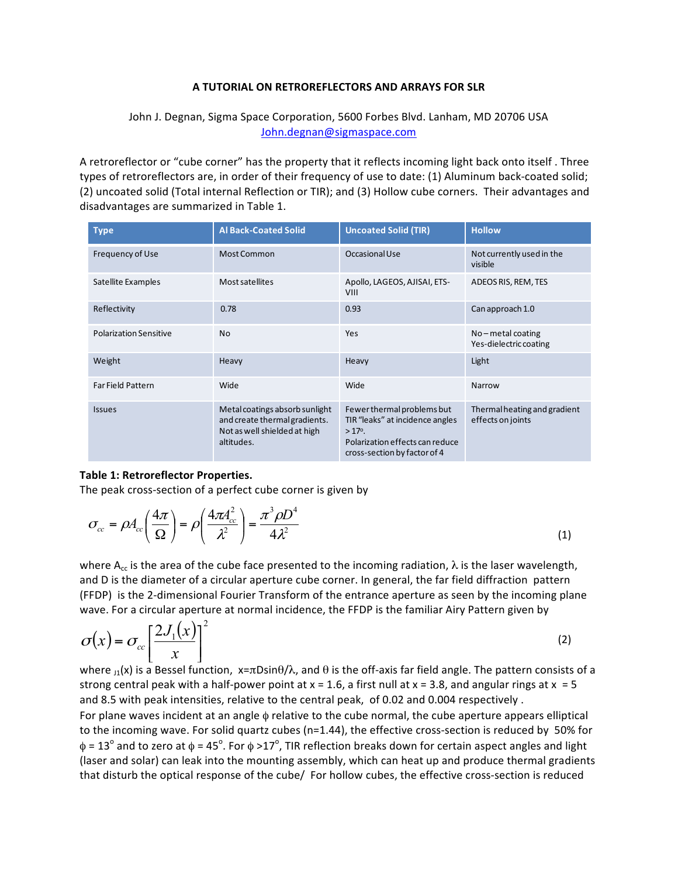## **A TUTORIAL ON RETROREFLECTORS AND ARRAYS FOR SLR**

## John J. Degnan, Sigma Space Corporation, 5600 Forbes Blvd. Lanham, MD 20706 USA John.degnan@sigmaspace.com

A retroreflector or "cube corner" has the property that it reflects incoming light back onto itself. Three types of retroreflectors are, in order of their frequency of use to date: (1) Aluminum back-coated solid; (2) uncoated solid (Total internal Reflection or TIR); and (3) Hollow cube corners. Their advantages and disadvantages are summarized in Table 1.

| <b>Type</b>                   | <b>Al Back-Coated Solid</b>                                                                                   | <b>Uncoated Solid (TIR)</b>                                                                                                                         | <b>Hollow</b>                                     |
|-------------------------------|---------------------------------------------------------------------------------------------------------------|-----------------------------------------------------------------------------------------------------------------------------------------------------|---------------------------------------------------|
| Frequency of Use              | <b>Most Common</b>                                                                                            | Occasional Use                                                                                                                                      | Not currently used in the<br>visible              |
| Satellite Examples            | Most satellites                                                                                               | Apollo, LAGEOS, AJISAI, ETS-<br><b>VIII</b>                                                                                                         | ADEOS RIS, REM, TES                               |
| Reflectivity                  | 0.78                                                                                                          | 0.93                                                                                                                                                | Can approach 1.0                                  |
| <b>Polarization Sensitive</b> | N <sub>0</sub>                                                                                                | Yes                                                                                                                                                 | $No$ – metal coating<br>Yes-dielectric coating    |
| Weight                        | Heavy                                                                                                         | Heavy                                                                                                                                               | Light                                             |
| <b>FarField Pattern</b>       | Wide                                                                                                          | Wide                                                                                                                                                | Narrow                                            |
| <b>Issues</b>                 | Metal coatings absorb sunlight<br>and create thermal gradients.<br>Not as well shielded at high<br>altitudes. | Fewer thermal problems but<br>TIR "leaks" at incidence angles<br>$>17^{\circ}$ .<br>Polarization effects can reduce<br>cross-section by factor of 4 | Thermal heating and gradient<br>effects on joints |

## **Table 1: Retroreflector Properties.**

The peak cross-section of a perfect cube corner is given by

$$
\sigma_{cc} = \rho A_{cc} \left( \frac{4\pi}{\Omega} \right) = \rho \left( \frac{4\pi A_{cc}^2}{\lambda^2} \right) = \frac{\pi^3 \rho D^4}{4\lambda^2}
$$
\n(1)

where  $A_{cc}$  is the area of the cube face presented to the incoming radiation,  $\lambda$  is the laser wavelength, and D is the diameter of a circular aperture cube corner. In general, the far field diffraction pattern (FFDP) is the 2-dimensional Fourier Transform of the entrance aperture as seen by the incoming plane wave. For a circular aperture at normal incidence, the FFDP is the familiar Airy Pattern given by

$$
\sigma(x) = \sigma_{cc} \left[ \frac{2J_1(x)}{x} \right]^2 \tag{2}
$$

where  $J_1(x)$  is a Bessel function,  $x=\pi D\sin\theta/\lambda$ , and  $\theta$  is the off-axis far field angle. The pattern consists of a strong central peak with a half-power point at  $x = 1.6$ , a first null at  $x = 3.8$ , and angular rings at  $x = 5$ and 8.5 with peak intensities, relative to the central peak, of 0.02 and 0.004 respectively. For plane waves incident at an angle  $\phi$  relative to the cube normal, the cube aperture appears elliptical to the incoming wave. For solid quartz cubes ( $n=1.44$ ), the effective cross-section is reduced by 50% for φ = 13<sup>o</sup> and to zero at φ = 45<sup>o</sup>. For φ >17<sup>o</sup>, TIR reflection breaks down for certain aspect angles and light (laser and solar) can leak into the mounting assembly, which can heat up and produce thermal gradients that disturb the optical response of the cube/ For hollow cubes, the effective cross-section is reduced